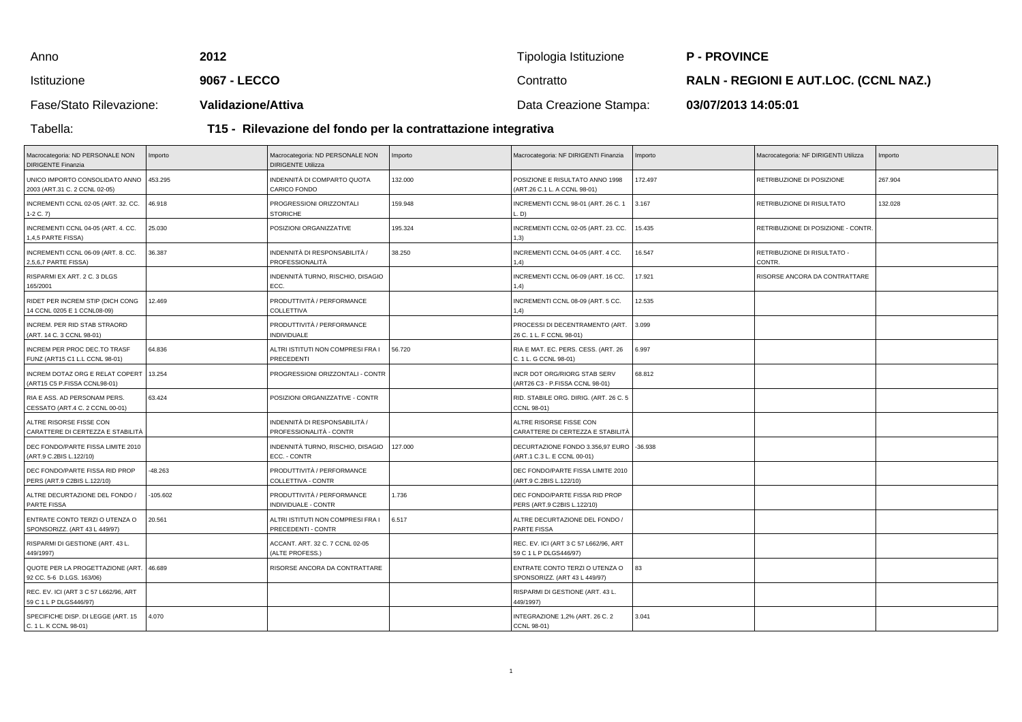| Anno                    | 2012                      | Tipologia Istituzione  | <b>P-PROVINCE</b>                            |
|-------------------------|---------------------------|------------------------|----------------------------------------------|
| <b>Istituzione</b>      | 9067 - LECCO              | Contratto              | <b>RALN - REGIONI E AUT.LOC. (CCNL NAZ.)</b> |
| Fase/Stato Rilevazione: | <b>Validazione/Attiva</b> | Data Creazione Stampa: | 03/07/2013 14:05:01                          |

Tabella:

**T15 - Rilevazione del fondo per la contrattazione integrativa**

| Macrocategoria: ND PERSONALE NON<br><b>DIRIGENTE Finanzia</b>        | Importo   | Macrocategoria: ND PERSONALE NON<br><b>DIRIGENTE Utilizza</b> | Importo | Macrocategoria: NF DIRIGENTI Finanzia                                 | Importo | Macrocategoria: NF DIRIGENTI Utilizza | Importo |
|----------------------------------------------------------------------|-----------|---------------------------------------------------------------|---------|-----------------------------------------------------------------------|---------|---------------------------------------|---------|
| UNICO IMPORTO CONSOLIDATO ANNO<br>2003 (ART.31 C. 2 CCNL 02-05)      | 453.295   | INDENNITÀ DI COMPARTO QUOTA<br>CARICO FONDO                   | 132.000 | POSIZIONE E RISULTATO ANNO 1998<br>(ART.26 C.1 L. A CCNL 98-01)       | 172.497 | RETRIBUZIONE DI POSIZIONE             | 267.904 |
| INCREMENTI CCNL 02-05 (ART. 32. CC.<br>$1-2 C. 7$                    | 46.918    | PROGRESSIONI ORIZZONTALI<br><b>STORICHE</b>                   | 159.948 | INCREMENTI CCNL 98-01 (ART. 26 C. 1<br>D)                             | 3.167   | RETRIBUZIONE DI RISULTATO             | 132.028 |
| INCREMENTI CCNL 04-05 (ART. 4. CC.<br>1,4,5 PARTE FISSA)             | 25.030    | POSIZIONI ORGANIZZATIVE                                       | 195.324 | INCREMENTI CCNL 02-05 (ART. 23. CC.<br>1,3)                           | 15.435  | RETRIBUZIONE DI POSIZIONE - CONTR     |         |
| INCREMENTI CCNL 06-09 (ART. 8. CC.<br>2,5,6,7 PARTE FISSA)           | 36.387    | INDENNITÀ DI RESPONSABILITÀ /<br>PROFESSIONALITÀ              | 38.250  | INCREMENTI CCNL 04-05 (ART. 4 CC.<br>1,4)                             | 16.547  | RETRIBUZIONE DI RISULTATO -<br>CONTR. |         |
| RISPARMI EX ART. 2 C. 3 DLGS<br>165/2001                             |           | INDENNITÀ TURNO, RISCHIO, DISAGIO<br>ECC.                     |         | INCREMENTI CCNL 06-09 (ART. 16 CC.<br>1.4)                            | 17.921  | RISORSE ANCORA DA CONTRATTARE         |         |
| RIDET PER INCREM STIP (DICH CONG<br>14 CCNL 0205 E 1 CCNL08-09)      | 12.469    | PRODUTTIVITÀ / PERFORMANCE<br>COLLETTIVA                      |         | INCREMENTI CCNL 08-09 (ART. 5 CC.<br>1,4)                             | 12.535  |                                       |         |
| INCREM. PER RID STAB STRAORD<br>(ART. 14 C. 3 CCNL 98-01)            |           | PRODUTTIVITÀ / PERFORMANCE<br><b>INDIVIDUALE</b>              |         | PROCESSI DI DECENTRAMENTO (ART.<br>26 C. 1 L. F CCNL 98-01)           | 3.099   |                                       |         |
| INCREM PER PROC DEC.TO TRASF<br>FUNZ (ART15 C1 L.L CCNL 98-01)       | 64.836    | ALTRI ISTITUTI NON COMPRESI FRA I<br>PRECEDENTI               | 56.720  | RIA E MAT. EC. PERS. CESS. (ART. 26<br>C. 1 L. G CCNL 98-01)          | 6.997   |                                       |         |
| INCREM DOTAZ ORG E RELAT COPERT<br>(ART15 C5 P.FISSA CCNL98-01)      | 13.254    | PROGRESSIONI ORIZZONTALI - CONTR                              |         | INCR DOT ORG/RIORG STAB SERV<br>(ART26 C3 - P.FISSA CCNL 98-01)       | 68.812  |                                       |         |
| RIA E ASS. AD PERSONAM PERS.<br>CESSATO (ART.4 C. 2 CCNL 00-01)      | 63.424    | POSIZIONI ORGANIZZATIVE - CONTR                               |         | RID. STABILE ORG. DIRIG. (ART. 26 C. 5<br>CCNL 98-01)                 |         |                                       |         |
| ALTRE RISORSE FISSE CON<br>CARATTERE DI CERTEZZA E STABILITÀ         |           | INDENNITÀ DI RESPONSABILITÀ /<br>PROFESSIONALITÀ - CONTR      |         | ALTRE RISORSE FISSE CON<br>CARATTERE DI CERTEZZA E STABILITÀ          |         |                                       |         |
| DEC FONDO/PARTE FISSA LIMITE 2010<br>(ART.9 C.2BIS L.122/10)         |           | INDENNITÀ TURNO, RISCHIO, DISAGIO<br>ECC. - CONTR             | 127.000 | DECURTAZIONE FONDO 3.356,97 EURO 3.938<br>(ART.1 C.3 L. E CCNL 00-01) |         |                                       |         |
| DEC FONDO/PARTE FISSA RID PROP<br>PERS (ART.9 C2BIS L.122/10)        | $-48.263$ | PRODUTTIVITÀ / PERFORMANCE<br>COLLETTIVA - CONTR              |         | DEC FONDO/PARTE FISSA LIMITE 2010<br>(ART.9 C.2BIS L.122/10)          |         |                                       |         |
| ALTRE DECURTAZIONE DEL FONDO /<br>PARTE FISSA                        | 105.602   | PRODUTTIVITÀ / PERFORMANCE<br>INDIVIDUALE - CONTR             | 1.736   | DEC FONDO/PARTE FISSA RID PROP<br>PERS (ART.9 C2BIS L.122/10)         |         |                                       |         |
| ENTRATE CONTO TERZI O UTENZA O<br>SPONSORIZZ. (ART 43 L 449/97)      | 20.561    | ALTRI ISTITUTI NON COMPRESI FRA I<br>PRECEDENTI - CONTR       | 6.517   | ALTRE DECURTAZIONE DEL FONDO /<br>PARTE FISSA                         |         |                                       |         |
| RISPARMI DI GESTIONE (ART. 43 L.<br>449/1997)                        |           | ACCANT. ART. 32 C. 7 CCNL 02-05<br>(ALTE PROFESS.)            |         | REC. EV. ICI (ART 3 C 57 L662/96, ART<br>59 C 1 L P DLGS446/97)       |         |                                       |         |
| QUOTE PER LA PROGETTAZIONE (ART. 46.689<br>92 CC. 5-6 D.LGS. 163/06) |           | RISORSE ANCORA DA CONTRATTARE                                 |         | ENTRATE CONTO TERZI O UTENZA O<br>SPONSORIZZ. (ART 43 L 449/97)       | 83      |                                       |         |
| REC. EV. ICI (ART 3 C 57 L662/96, ART<br>59 C 1 L P DLGS446/97)      |           |                                                               |         | RISPARMI DI GESTIONE (ART. 43 L.<br>449/1997)                         |         |                                       |         |
| SPECIFICHE DISP. DI LEGGE (ART. 15<br>C. 1 L. K CCNL 98-01)          | 4.070     |                                                               |         | INTEGRAZIONE 1,2% (ART. 26 C. 2<br>CCNL 98-01)                        | 3.041   |                                       |         |